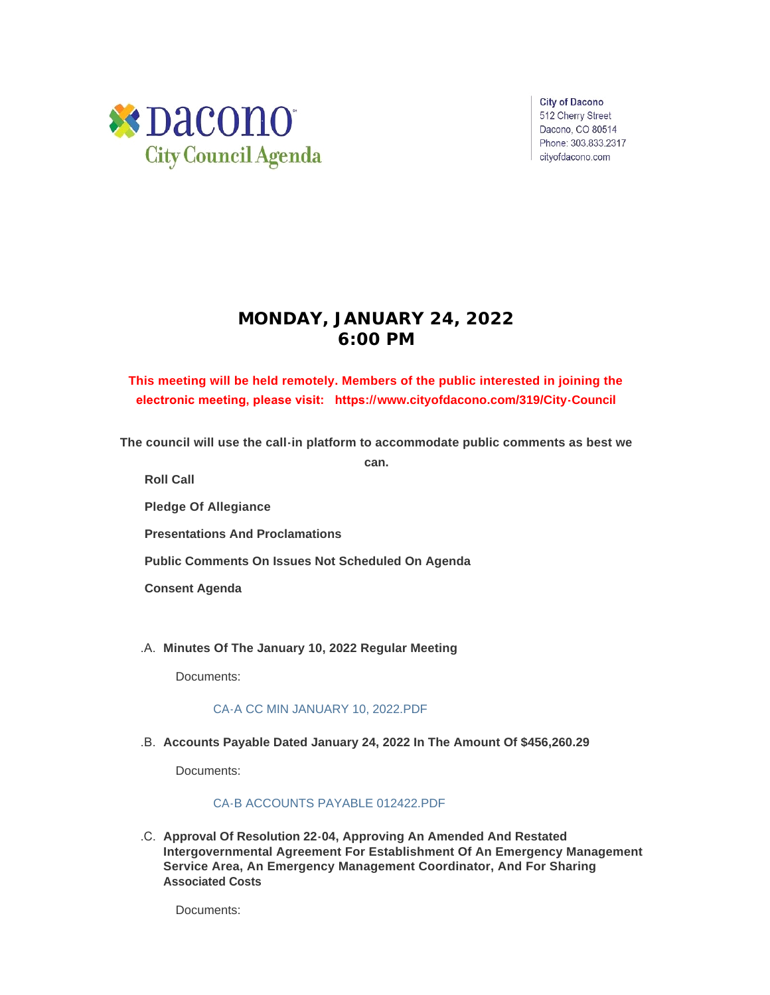

**City of Dacono** 512 Cherry Street Dacono, CO 80514 Phone: 303.833.2317 cityofdacono.com

# **MONDAY, JANUARY 24, 2022 6:00 PM**

# **This meeting will be held remotely. Members of the public interested in joining the electronic meeting, please visit: https://[www.cityofdacono.com/319/City-Council](http://www.cityofdacono.com/319/City-Council)**

**The council will use the call-in platform to accommodate public comments as best we** 

**can.**

**Roll Call**

**Pledge Of Allegiance** 

**Presentations And Proclamations**

**Public Comments On Issues Not Scheduled On Agenda**

**Consent Agenda**

**Minutes Of The January 10, 2022 Regular Meeting** .A.

Documents:

#### [CA-A CC MIN JANUARY 10, 2022.PDF](https://www.cityofdacono.com/AgendaCenter/ViewFile/Item/1943?fileID=2670)

**Accounts Payable Dated January 24, 2022 In The Amount Of \$456,260.29** .B.

Documents:

#### [CA-B ACCOUNTS PAYABLE 012422.PDF](https://www.cityofdacono.com/AgendaCenter/ViewFile/Item/1944?fileID=2661)

**Approval Of Resolution 22-04, Approving An Amended And Restated**  .C. **Intergovernmental Agreement For Establishment Of An Emergency Management Service Area, An Emergency Management Coordinator, And For Sharing Associated Costs**

Documents: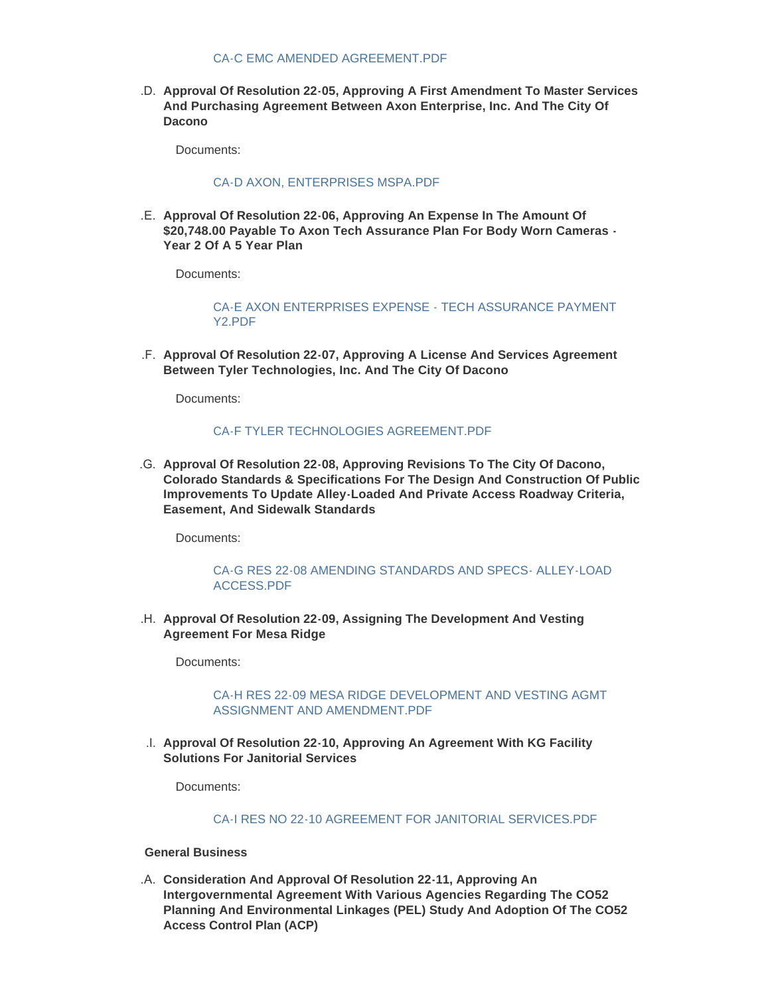**Approval Of Resolution 22-05, Approving A First Amendment To Master Services**  .D. **And Purchasing Agreement Between Axon Enterprise, Inc. And The City Of Dacono**

Documents:

#### [CA-D AXON, ENTERPRISES MSPA.PDF](https://www.cityofdacono.com/AgendaCenter/ViewFile/Item/1946?fileID=2663)

**Approval Of Resolution 22-06, Approving An Expense In The Amount Of**  .E. **\$20,748.00 Payable To Axon Tech Assurance Plan For Body Worn Cameras - Year 2 Of A 5 Year Plan**

Documents:

[CA-E AXON ENTERPRISES EXPENSE - TECH ASSURANCE PAYMENT](https://www.cityofdacono.com/AgendaCenter/ViewFile/Item/1947?fileID=2664)  Y2.PDF

**Approval Of Resolution 22-07, Approving A License And Services Agreement**  .F. **Between Tyler Technologies, Inc. And The City Of Dacono**

Documents:

#### [CA-F TYLER TECHNOLOGIES AGREEMENT.PDF](https://www.cityofdacono.com/AgendaCenter/ViewFile/Item/1948?fileID=2665)

**Approval Of Resolution 22-08, Approving Revisions To The City Of Dacono,**  .G. **Colorado Standards & Specifications For The Design And Construction Of Public Improvements To Update Alley-Loaded And Private Access Roadway Criteria, Easement, And Sidewalk Standards**

Documents:

#### [CA-G RES 22-08 AMENDING STANDARDS AND SPECS- ALLEY-LOAD](https://www.cityofdacono.com/AgendaCenter/ViewFile/Item/1949?fileID=2666)  ACCESS.PDF

**Approval Of Resolution 22-09, Assigning The Development And Vesting**  .H. **Agreement For Mesa Ridge**

Documents:

#### [CA-H RES 22-09 MESA RIDGE DEVELOPMENT AND VESTING AGMT](https://www.cityofdacono.com/AgendaCenter/ViewFile/Item/1950?fileID=2667)  ASSIGNMENT AND AMENDMENT.PDF

**Approval Of Resolution 22-10, Approving An Agreement With KG Facility**  .I. **Solutions For Janitorial Services**

Documents:

#### CA-I RES NO 22-10 AGREEMENT FOR JANITORIAL SERVICES PDE

**General Business**

**Consideration And Approval Of Resolution 22-11, Approving An**  .A. **Intergovernmental Agreement With Various Agencies Regarding The CO52 Planning And Environmental Linkages (PEL) Study And Adoption Of The CO52 Access Control Plan (ACP)**